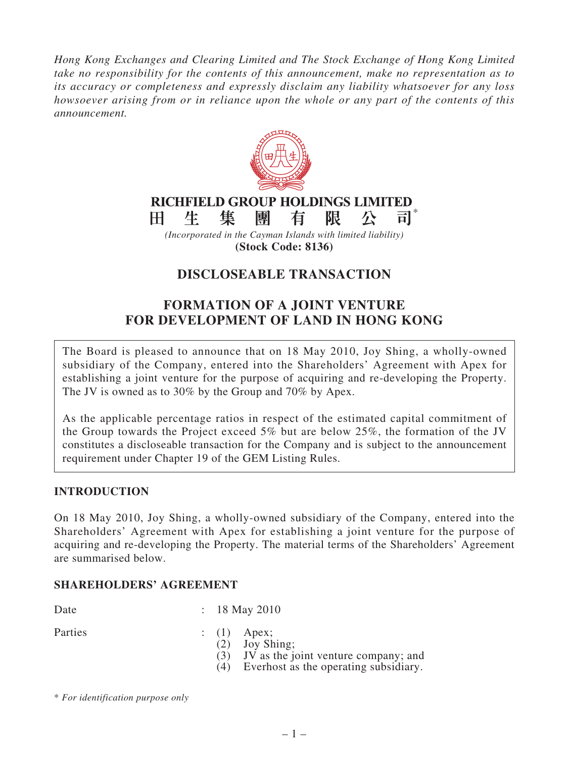*Hong Kong Exchanges and Clearing Limited and The Stock Exchange of Hong Kong Limited take no responsibility for the contents of this announcement, make no representation as to its accuracy or completeness and expressly disclaim any liability whatsoever for any loss howsoever arising from or in reliance upon the whole or any part of the contents of this announcement.*



**(Stock Code: 8136)**

# **DISCLOSEABLE TRANSACTION**

## **FORMATION OF A JOINT VENTURE FOR DEVELOPMENT OF LAND IN HONG KONG**

The Board is pleased to announce that on 18 May 2010, Joy Shing, a wholly-owned subsidiary of the Company, entered into the Shareholders' Agreement with Apex for establishing a joint venture for the purpose of acquiring and re-developing the Property. The JV is owned as to 30% by the Group and 70% by Apex.

As the applicable percentage ratios in respect of the estimated capital commitment of the Group towards the Project exceed 5% but are below 25%, the formation of the JV constitutes a discloseable transaction for the Company and is subject to the announcement requirement under Chapter 19 of the GEM Listing Rules.

## **INTRODUCTION**

On 18 May 2010, Joy Shing, a wholly-owned subsidiary of the Company, entered into the Shareholders' Agreement with Apex for establishing a joint venture for the purpose of acquiring and re-developing the Property. The material terms of the Shareholders' Agreement are summarised below.

## **SHAREHOLDERS' AGREEMENT**

Date : 18 May 2010

- Parties : (1) Apex;<br>(2) Joy Sl
	-
	- (2) Joy Shing; IV as the joint venture company; and
	- (4) Everhost as the operating subsidiary.

\* *For identification purpose only*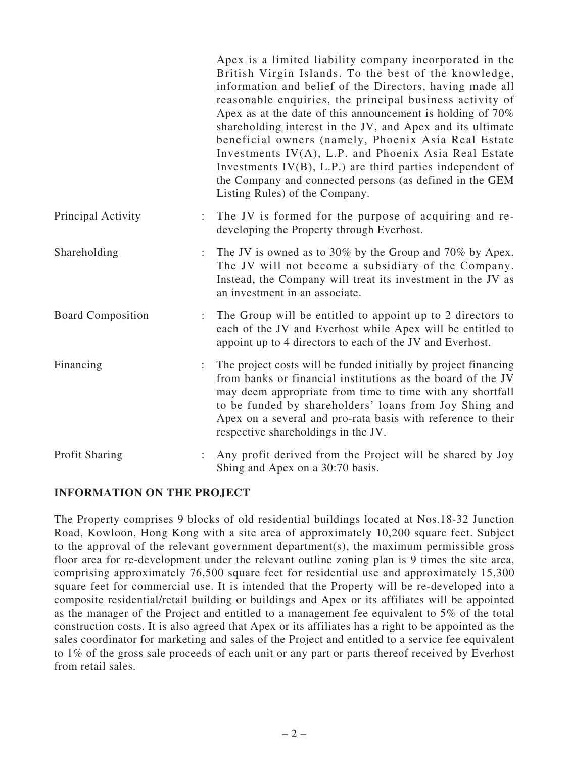|                          | Apex is a limited liability company incorporated in the<br>British Virgin Islands. To the best of the knowledge,<br>information and belief of the Directors, having made all<br>reasonable enquiries, the principal business activity of<br>Apex as at the date of this announcement is holding of $70\%$<br>shareholding interest in the JV, and Apex and its ultimate<br>beneficial owners (namely, Phoenix Asia Real Estate<br>Investments IV(A), L.P. and Phoenix Asia Real Estate<br>Investments $IV(B)$ , L.P.) are third parties independent of<br>the Company and connected persons (as defined in the GEM<br>Listing Rules) of the Company. |
|--------------------------|------------------------------------------------------------------------------------------------------------------------------------------------------------------------------------------------------------------------------------------------------------------------------------------------------------------------------------------------------------------------------------------------------------------------------------------------------------------------------------------------------------------------------------------------------------------------------------------------------------------------------------------------------|
| Principal Activity       | The JV is formed for the purpose of acquiring and re-<br>developing the Property through Everhost.                                                                                                                                                                                                                                                                                                                                                                                                                                                                                                                                                   |
| Shareholding             | The JV is owned as to 30% by the Group and 70% by Apex.<br>The JV will not become a subsidiary of the Company.<br>Instead, the Company will treat its investment in the JV as<br>an investment in an associate.                                                                                                                                                                                                                                                                                                                                                                                                                                      |
| <b>Board Composition</b> | The Group will be entitled to appoint up to 2 directors to<br>each of the JV and Everhost while Apex will be entitled to<br>appoint up to 4 directors to each of the JV and Everhost.                                                                                                                                                                                                                                                                                                                                                                                                                                                                |
| Financing                | The project costs will be funded initially by project financing<br>from banks or financial institutions as the board of the JV<br>may deem appropriate from time to time with any shortfall<br>to be funded by shareholders' loans from Joy Shing and<br>Apex on a several and pro-rata basis with reference to their<br>respective shareholdings in the JV.                                                                                                                                                                                                                                                                                         |
| Profit Sharing           | Any profit derived from the Project will be shared by Joy<br>Shing and Apex on a 30:70 basis.                                                                                                                                                                                                                                                                                                                                                                                                                                                                                                                                                        |

#### **INFORMATION ON THE PROJECT**

The Property comprises 9 blocks of old residential buildings located at Nos.18-32 Junction Road, Kowloon, Hong Kong with a site area of approximately 10,200 square feet. Subject to the approval of the relevant government department(s), the maximum permissible gross floor area for re-development under the relevant outline zoning plan is 9 times the site area, comprising approximately 76,500 square feet for residential use and approximately 15,300 square feet for commercial use. It is intended that the Property will be re-developed into a composite residential/retail building or buildings and Apex or its affiliates will be appointed as the manager of the Project and entitled to a management fee equivalent to 5% of the total construction costs. It is also agreed that Apex or its affiliates has a right to be appointed as the sales coordinator for marketing and sales of the Project and entitled to a service fee equivalent to 1% of the gross sale proceeds of each unit or any part or parts thereof received by Everhost from retail sales.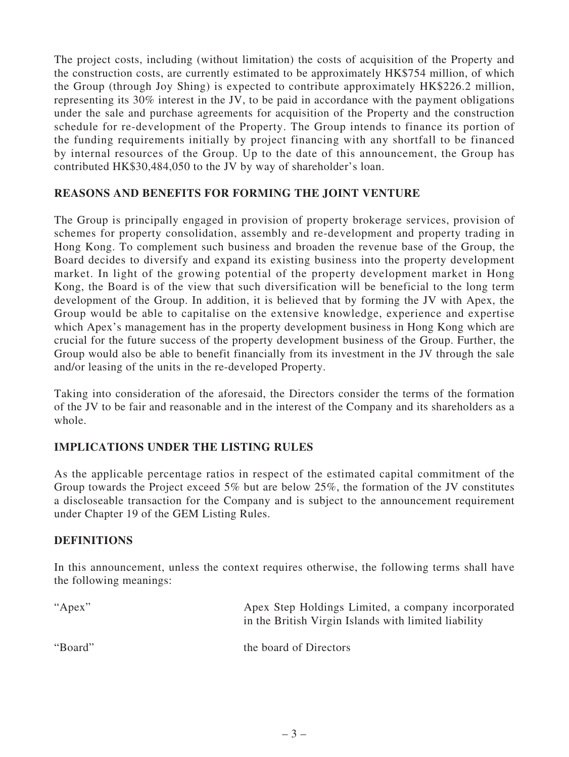The project costs, including (without limitation) the costs of acquisition of the Property and the construction costs, are currently estimated to be approximately HK\$754 million, of which the Group (through Joy Shing) is expected to contribute approximately HK\$226.2 million, representing its 30% interest in the JV, to be paid in accordance with the payment obligations under the sale and purchase agreements for acquisition of the Property and the construction schedule for re-development of the Property. The Group intends to finance its portion of the funding requirements initially by project financing with any shortfall to be financed by internal resources of the Group. Up to the date of this announcement, the Group has contributed HK\$30,484,050 to the JV by way of shareholder's loan.

### **REASONS AND BENEFITS FOR FORMING THE JOINT VENTURE**

The Group is principally engaged in provision of property brokerage services, provision of schemes for property consolidation, assembly and re-development and property trading in Hong Kong. To complement such business and broaden the revenue base of the Group, the Board decides to diversify and expand its existing business into the property development market. In light of the growing potential of the property development market in Hong Kong, the Board is of the view that such diversification will be beneficial to the long term development of the Group. In addition, it is believed that by forming the JV with Apex, the Group would be able to capitalise on the extensive knowledge, experience and expertise which Apex's management has in the property development business in Hong Kong which are crucial for the future success of the property development business of the Group. Further, the Group would also be able to benefit financially from its investment in the JV through the sale and/or leasing of the units in the re-developed Property.

Taking into consideration of the aforesaid, the Directors consider the terms of the formation of the JV to be fair and reasonable and in the interest of the Company and its shareholders as a whole.

## **IMPLICATIONS UNDER THE LISTING RULES**

As the applicable percentage ratios in respect of the estimated capital commitment of the Group towards the Project exceed 5% but are below 25%, the formation of the JV constitutes a discloseable transaction for the Company and is subject to the announcement requirement under Chapter 19 of the GEM Listing Rules.

#### **DEFINITIONS**

In this announcement, unless the context requires otherwise, the following terms shall have the following meanings:

| "Apex"  | Apex Step Holdings Limited, a company incorporated<br>in the British Virgin Islands with limited liability |
|---------|------------------------------------------------------------------------------------------------------------|
| "Board" | the board of Directors                                                                                     |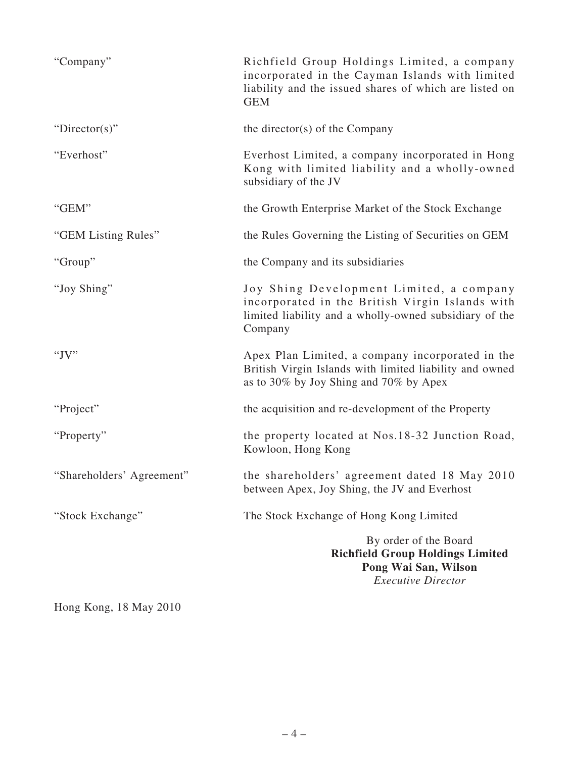| "Company"                 | Richfield Group Holdings Limited, a company<br>incorporated in the Cayman Islands with limited<br>liability and the issued shares of which are listed on<br><b>GEM</b> |
|---------------------------|------------------------------------------------------------------------------------------------------------------------------------------------------------------------|
| "Director(s)"             | the director(s) of the Company                                                                                                                                         |
| "Everhost"                | Everhost Limited, a company incorporated in Hong<br>Kong with limited liability and a wholly-owned<br>subsidiary of the JV                                             |
| "GEM"                     | the Growth Enterprise Market of the Stock Exchange                                                                                                                     |
| "GEM Listing Rules"       | the Rules Governing the Listing of Securities on GEM                                                                                                                   |
| "Group"                   | the Company and its subsidiaries                                                                                                                                       |
| "Joy Shing"               | Joy Shing Development Limited, a company<br>incorporated in the British Virgin Islands with<br>limited liability and a wholly-owned subsidiary of the<br>Company       |
| " $JV$ "                  | Apex Plan Limited, a company incorporated in the<br>British Virgin Islands with limited liability and owned<br>as to 30% by Joy Shing and 70% by Apex                  |
| "Project"                 | the acquisition and re-development of the Property                                                                                                                     |
| "Property"                | the property located at Nos.18-32 Junction Road,<br>Kowloon, Hong Kong                                                                                                 |
| "Shareholders' Agreement" | the shareholders' agreement dated 18 May 2010<br>between Apex, Joy Shing, the JV and Everhost                                                                          |
| "Stock Exchange"          | The Stock Exchange of Hong Kong Limited                                                                                                                                |
|                           | By order of the Board<br><b>Richfield Group Holdings Limited</b><br>Pong Wai San, Wilson<br><b>Executive Director</b>                                                  |

Hong Kong, 18 May 2010